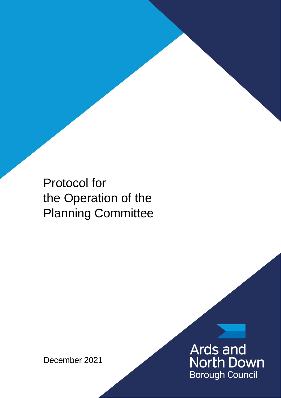Protocol for the Operation of the Planning Committee

December 2021

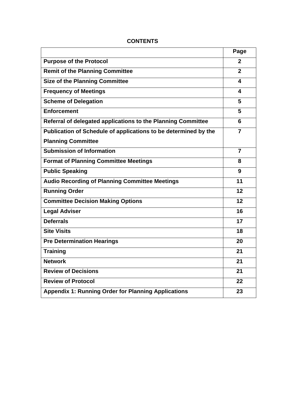|                                                                 | Page           |
|-----------------------------------------------------------------|----------------|
| <b>Purpose of the Protocol</b>                                  | $\mathbf{p}$   |
| <b>Remit of the Planning Committee</b>                          | $\mathbf{2}$   |
| <b>Size of the Planning Committee</b>                           | 4              |
| <b>Frequency of Meetings</b>                                    | 4              |
| <b>Scheme of Delegation</b>                                     | 5              |
| <b>Enforcement</b>                                              | 5              |
| Referral of delegated applications to the Planning Committee    | 6              |
| Publication of Schedule of applications to be determined by the | $\overline{7}$ |
| <b>Planning Committee</b>                                       |                |
| <b>Submission of Information</b>                                | $\overline{7}$ |
| <b>Format of Planning Committee Meetings</b>                    | 8              |
| <b>Public Speaking</b>                                          | 9              |
| <b>Audio Recording of Planning Committee Meetings</b>           | 11             |
| <b>Running Order</b>                                            | 12             |
| <b>Committee Decision Making Options</b>                        | 12             |
| <b>Legal Adviser</b>                                            | 16             |
| <b>Deferrals</b>                                                | 17             |
| <b>Site Visits</b>                                              | 18             |
| <b>Pre Determination Hearings</b>                               | 20             |
| <b>Training</b>                                                 | 21             |
| <b>Network</b>                                                  | 21             |
| <b>Review of Decisions</b>                                      | 21             |
| <b>Review of Protocol</b>                                       | 22             |
| <b>Appendix 1: Running Order for Planning Applications</b>      | 23             |

# **CONTENTS**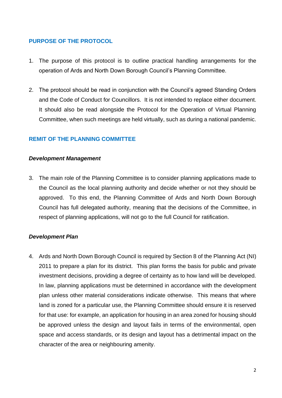### **PURPOSE OF THE PROTOCOL**

- 1. The purpose of this protocol is to outline practical handling arrangements for the operation of Ards and North Down Borough Council's Planning Committee.
- 2. The protocol should be read in conjunction with the Council's agreed Standing Orders and the Code of Conduct for Councillors. It is not intended to replace either document. It should also be read alongside the Protocol for the Operation of Virtual Planning Committee, when such meetings are held virtually, such as during a national pandemic.

### **REMIT OF THE PLANNING COMMITTEE**

#### *Development Management*

3. The main role of the Planning Committee is to consider planning applications made to the Council as the local planning authority and decide whether or not they should be approved. To this end, the Planning Committee of Ards and North Down Borough Council has full delegated authority, meaning that the decisions of the Committee, in respect of planning applications, will not go to the full Council for ratification.

#### *Development Plan*

4. Ards and North Down Borough Council is required by Section 8 of the Planning Act (NI) 2011 to prepare a plan for its district. This plan forms the basis for public and private investment decisions, providing a degree of certainty as to how land will be developed. In law, planning applications must be determined in accordance with the development plan unless other material considerations indicate otherwise. This means that where land is zoned for a particular use, the Planning Committee should ensure it is reserved for that use: for example, an application for housing in an area zoned for housing should be approved unless the design and layout fails in terms of the environmental, open space and access standards, or its design and layout has a detrimental impact on the character of the area or neighbouring amenity.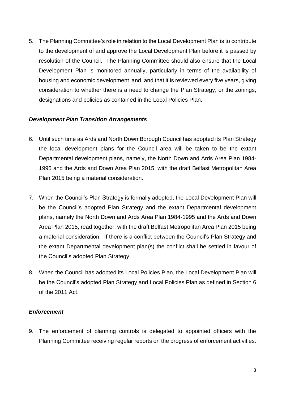5. The Planning Committee's role in relation to the Local Development Plan is to contribute to the development of and approve the Local Development Plan before it is passed by resolution of the Council. The Planning Committee should also ensure that the Local Development Plan is monitored annually, particularly in terms of the availability of housing and economic development land, and that it is reviewed every five years, giving consideration to whether there is a need to change the Plan Strategy, or the zonings, designations and policies as contained in the Local Policies Plan.

#### *Development Plan Transition Arrangements*

- 6. Until such time as Ards and North Down Borough Council has adopted its Plan Strategy the local development plans for the Council area will be taken to be the extant Departmental development plans, namely, the North Down and Ards Area Plan 1984- 1995 and the Ards and Down Area Plan 2015, with the draft Belfast Metropolitan Area Plan 2015 being a material consideration.
- 7. When the Council's Plan Strategy is formally adopted, the Local Development Plan will be the Council's adopted Plan Strategy and the extant Departmental development plans, namely the North Down and Ards Area Plan 1984-1995 and the Ards and Down Area Plan 2015, read together, with the draft Belfast Metropolitan Area Plan 2015 being a material consideration. If there is a conflict between the Council's Plan Strategy and the extant Departmental development plan(s) the conflict shall be settled in favour of the Council's adopted Plan Strategy.
- 8. When the Council has adopted its Local Policies Plan, the Local Development Plan will be the Council's adopted Plan Strategy and Local Policies Plan as defined in Section 6 of the 2011 Act.

### *Enforcement*

9. The enforcement of planning controls is delegated to appointed officers with the Planning Committee receiving regular reports on the progress of enforcement activities.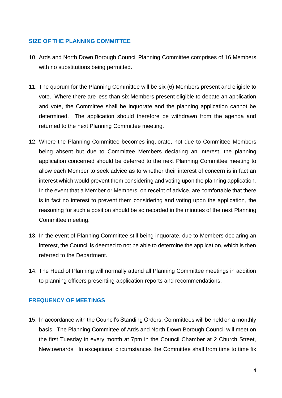### **SIZE OF THE PLANNING COMMITTEE**

- 10. Ards and North Down Borough Council Planning Committee comprises of 16 Members with no substitutions being permitted.
- 11. The quorum for the Planning Committee will be six (6) Members present and eligible to vote. Where there are less than six Members present eligible to debate an application and vote, the Committee shall be inquorate and the planning application cannot be determined. The application should therefore be withdrawn from the agenda and returned to the next Planning Committee meeting.
- 12. Where the Planning Committee becomes inquorate, not due to Committee Members being absent but due to Committee Members declaring an interest, the planning application concerned should be deferred to the next Planning Committee meeting to allow each Member to seek advice as to whether their interest of concern is in fact an interest which would prevent them considering and voting upon the planning application. In the event that a Member or Members, on receipt of advice, are comfortable that there is in fact no interest to prevent them considering and voting upon the application, the reasoning for such a position should be so recorded in the minutes of the next Planning Committee meeting.
- 13. In the event of Planning Committee still being inquorate, due to Members declaring an interest, the Council is deemed to not be able to determine the application, which is then referred to the Department.
- 14. The Head of Planning will normally attend all Planning Committee meetings in addition to planning officers presenting application reports and recommendations.

### **FREQUENCY OF MEETINGS**

15. In accordance with the Council's Standing Orders, Committees will be held on a monthly basis. The Planning Committee of Ards and North Down Borough Council will meet on the first Tuesday in every month at 7pm in the Council Chamber at 2 Church Street, Newtownards. In exceptional circumstances the Committee shall from time to time fix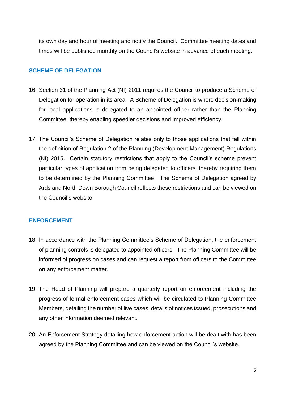its own day and hour of meeting and notify the Council. Committee meeting dates and times will be published monthly on the Council's website in advance of each meeting.

#### **SCHEME OF DELEGATION**

- 16. Section 31 of the Planning Act (NI) 2011 requires the Council to produce a Scheme of Delegation for operation in its area. A Scheme of Delegation is where decision-making for local applications is delegated to an appointed officer rather than the Planning Committee, thereby enabling speedier decisions and improved efficiency.
- 17. The Council's Scheme of Delegation relates only to those applications that fall within the definition of Regulation 2 of the Planning (Development Management) Regulations (NI) 2015. Certain statutory restrictions that apply to the Council's scheme prevent particular types of application from being delegated to officers, thereby requiring them to be determined by the Planning Committee. The Scheme of Delegation agreed by Ards and North Down Borough Council reflects these restrictions and can be viewed on the Council's website.

#### **ENFORCEMENT**

- 18. In accordance with the Planning Committee's Scheme of Delegation, the enforcement of planning controls is delegated to appointed officers. The Planning Committee will be informed of progress on cases and can request a report from officers to the Committee on any enforcement matter.
- 19. The Head of Planning will prepare a quarterly report on enforcement including the progress of formal enforcement cases which will be circulated to Planning Committee Members, detailing the number of live cases, details of notices issued, prosecutions and any other information deemed relevant.
- 20. An Enforcement Strategy detailing how enforcement action will be dealt with has been agreed by the Planning Committee and can be viewed on the Council's website.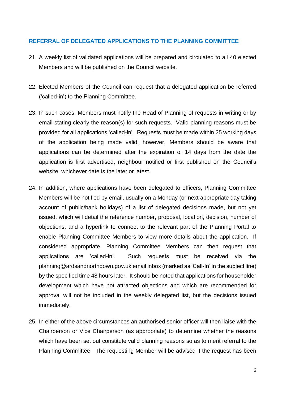#### **REFERRAL OF DELEGATED APPLICATIONS TO THE PLANNING COMMITTEE**

- 21. A weekly list of validated applications will be prepared and circulated to all 40 elected Members and will be published on the Council website.
- 22. Elected Members of the Council can request that a delegated application be referred ('called-in') to the Planning Committee.
- 23. In such cases, Members must notify the Head of Planning of requests in writing or by email stating clearly the reason(s) for such requests. Valid planning reasons must be provided for all applications 'called-in'. Requests must be made within 25 working days of the application being made valid; however, Members should be aware that applications can be determined after the expiration of 14 days from the date the application is first advertised, neighbour notified or first published on the Council's website, whichever date is the later or latest.
- 24. In addition, where applications have been delegated to officers, Planning Committee Members will be notified by email, usually on a Monday (or next appropriate day taking account of public/bank holidays) of a list of delegated decisions made, but not yet issued, which will detail the reference number, proposal, location, decision, number of objections, and a hyperlink to connect to the relevant part of the Planning Portal to enable Planning Committee Members to view more details about the application. If considered appropriate, Planning Committee Members can then request that applications are 'called-in'. Such requests must be received via the planning@ardsandnorthdown.gov.uk email inbox (marked as 'Call-In' in the subject line) by the specified time 48 hours later. It should be noted that applications for householder development which have not attracted objections and which are recommended for approval will not be included in the weekly delegated list, but the decisions issued immediately.
- 25. In either of the above circumstances an authorised senior officer will then liaise with the Chairperson or Vice Chairperson (as appropriate) to determine whether the reasons which have been set out constitute valid planning reasons so as to merit referral to the Planning Committee. The requesting Member will be advised if the request has been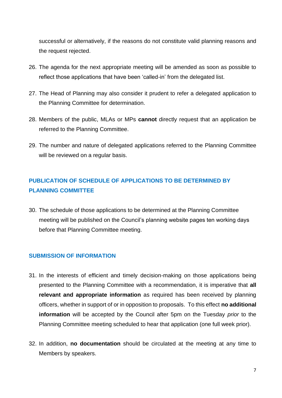successful or alternatively, if the reasons do not constitute valid planning reasons and the request rejected.

- 26. The agenda for the next appropriate meeting will be amended as soon as possible to reflect those applications that have been 'called-in' from the delegated list.
- 27. The Head of Planning may also consider it prudent to refer a delegated application to the Planning Committee for determination.
- 28. Members of the public, MLAs or MPs **cannot** directly request that an application be referred to the Planning Committee.
- 29. The number and nature of delegated applications referred to the Planning Committee will be reviewed on a regular basis.

# **PUBLICATION OF SCHEDULE OF APPLICATIONS TO BE DETERMINED BY PLANNING COMMITTEE**

30. The schedule of those applications to be determined at the Planning Committee meeting will be published on the Council's planning website pages ten working days before that Planning Committee meeting.

### **SUBMISSION OF INFORMATION**

- 31. In the interests of efficient and timely decision-making on those applications being presented to the Planning Committee with a recommendation, it is imperative that **all relevant and appropriate information** as required has been received by planning officers, whether in support of or in opposition to proposals. To this effect **no additional information** will be accepted by the Council after 5pm on the Tuesday *prior* to the Planning Committee meeting scheduled to hear that application (one full week prior).
- 32. In addition, **no documentation** should be circulated at the meeting at any time to Members by speakers.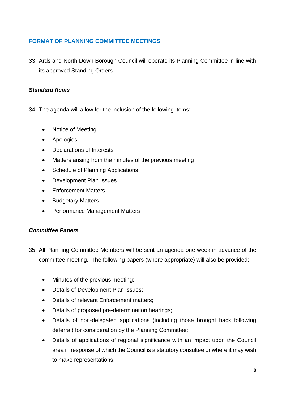### **FORMAT OF PLANNING COMMITTEE MEETINGS**

33. Ards and North Down Borough Council will operate its Planning Committee in line with its approved Standing Orders.

### *Standard Items*

- 34. The agenda will allow for the inclusion of the following items:
	- Notice of Meeting
	- Apologies
	- Declarations of Interests
	- Matters arising from the minutes of the previous meeting
	- Schedule of Planning Applications
	- Development Plan Issues
	- Enforcement Matters
	- Budgetary Matters
	- Performance Management Matters

### *Committee Papers*

- 35. All Planning Committee Members will be sent an agenda one week in advance of the committee meeting. The following papers (where appropriate) will also be provided:
	- Minutes of the previous meeting;
	- Details of Development Plan issues;
	- Details of relevant Enforcement matters;
	- Details of proposed pre-determination hearings;
	- Details of non-delegated applications (including those brought back following deferral) for consideration by the Planning Committee;
	- Details of applications of regional significance with an impact upon the Council area in response of which the Council is a statutory consultee or where it may wish to make representations;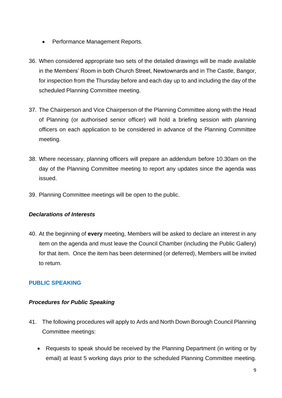- Performance Management Reports.
- 36. When considered appropriate two sets of the detailed drawings will be made available in the Members' Room in both Church Street, Newtownards and in The Castle, Bangor, for inspection from the Thursday before and each day up to and including the day of the scheduled Planning Committee meeting.
- 37. The Chairperson and Vice Chairperson of the Planning Committee along with the Head of Planning (or authorised senior officer) will hold a briefing session with planning officers on each application to be considered in advance of the Planning Committee meeting.
- 38. Where necessary, planning officers will prepare an addendum before 10.30am on the day of the Planning Committee meeting to report any updates since the agenda was issued.
- 39. Planning Committee meetings will be open to the public.

### *Declarations of Interests*

40. At the beginning of **every** meeting, Members will be asked to declare an interest in any item on the agenda and must leave the Council Chamber (including the Public Gallery) for that item. Once the item has been determined (or deferred), Members will be invited to return.

# **PUBLIC SPEAKING**

### *Procedures for Public Speaking*

- 41. The following procedures will apply to Ards and North Down Borough Council Planning Committee meetings:
	- Requests to speak should be received by the Planning Department (in writing or by email) at least 5 working days prior to the scheduled Planning Committee meeting.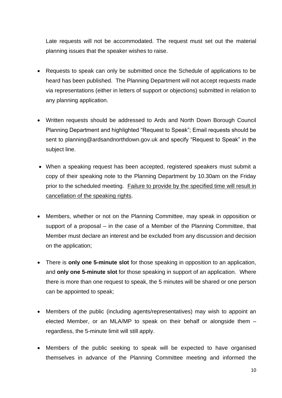Late requests will not be accommodated. The request must set out the material planning issues that the speaker wishes to raise.

- Requests to speak can only be submitted once the Schedule of applications to be heard has been published. The Planning Department will not accept requests made via representations (either in letters of support or objections) submitted in relation to any planning application.
- Written requests should be addressed to Ards and North Down Borough Council Planning Department and highlighted "Request to Speak"; Email requests should be sent to planning@ardsandnorthdown.gov.uk and specify "Request to Speak" in the subject line.
- When a speaking request has been accepted, registered speakers must submit a copy of their speaking note to the Planning Department by 10.30am on the Friday prior to the scheduled meeting. Failure to provide by the specified time will result in cancellation of the speaking rights.
- Members, whether or not on the Planning Committee, may speak in opposition or support of a proposal – in the case of a Member of the Planning Committee, that Member must declare an interest and be excluded from any discussion and decision on the application;
- There is **only one 5-minute slot** for those speaking in opposition to an application, and **only one 5-minute slot** for those speaking in support of an application. Where there is more than one request to speak, the 5 minutes will be shared or one person can be appointed to speak;
- Members of the public (including agents/representatives) may wish to appoint an elected Member, or an MLA/MP to speak on their behalf or alongside them – regardless, the 5-minute limit will still apply.
- Members of the public seeking to speak will be expected to have organised themselves in advance of the Planning Committee meeting and informed the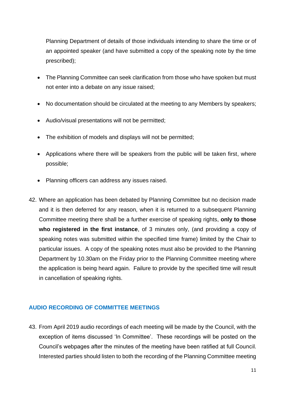Planning Department of details of those individuals intending to share the time or of an appointed speaker (and have submitted a copy of the speaking note by the time prescribed);

- The Planning Committee can seek clarification from those who have spoken but must not enter into a debate on any issue raised;
- No documentation should be circulated at the meeting to any Members by speakers;
- Audio/visual presentations will not be permitted;
- The exhibition of models and displays will not be permitted;
- Applications where there will be speakers from the public will be taken first, where possible;
- Planning officers can address any issues raised.
- 42. Where an application has been debated by Planning Committee but no decision made and it is then deferred for any reason, when it is returned to a subsequent Planning Committee meeting there shall be a further exercise of speaking rights, **only to those who registered in the first instance**, of 3 minutes only, (and providing a copy of speaking notes was submitted within the specified time frame) limited by the Chair to particular issues. A copy of the speaking notes must also be provided to the Planning Department by 10.30am on the Friday prior to the Planning Committee meeting where the application is being heard again. Failure to provide by the specified time will result in cancellation of speaking rights.

#### **AUDIO RECORDING OF COMMITTEE MEETINGS**

43. From April 2019 audio recordings of each meeting will be made by the Council, with the exception of items discussed 'In Committee'. These recordings will be posted on the Council's webpages after the minutes of the meeting have been ratified at full Council. Interested parties should listen to both the recording of the Planning Committee meeting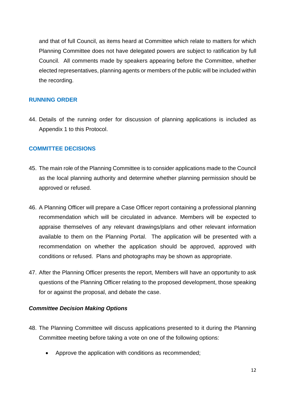and that of full Council, as items heard at Committee which relate to matters for which Planning Committee does not have delegated powers are subject to ratification by full Council. All comments made by speakers appearing before the Committee, whether elected representatives, planning agents or members of the public will be included within the recording.

### **RUNNING ORDER**

44. Details of the running order for discussion of planning applications is included as Appendix 1 to this Protocol.

### **COMMITTEE DECISIONS**

- 45. The main role of the Planning Committee is to consider applications made to the Council as the local planning authority and determine whether planning permission should be approved or refused.
- 46. A Planning Officer will prepare a Case Officer report containing a professional planning recommendation which will be circulated in advance. Members will be expected to appraise themselves of any relevant drawings/plans and other relevant information available to them on the Planning Portal. The application will be presented with a recommendation on whether the application should be approved, approved with conditions or refused. Plans and photographs may be shown as appropriate.
- 47. After the Planning Officer presents the report, Members will have an opportunity to ask questions of the Planning Officer relating to the proposed development, those speaking for or against the proposal, and debate the case.

### *Committee Decision Making Options*

- 48. The Planning Committee will discuss applications presented to it during the Planning Committee meeting before taking a vote on one of the following options:
	- Approve the application with conditions as recommended;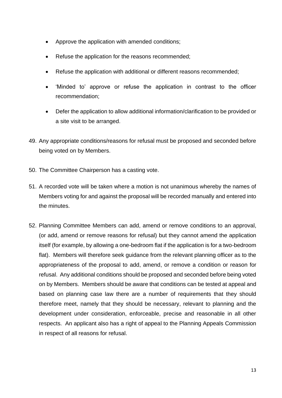- Approve the application with amended conditions;
- Refuse the application for the reasons recommended;
- Refuse the application with additional or different reasons recommended;
- 'Minded to' approve or refuse the application in contrast to the officer recommendation;
- Defer the application to allow additional information/clarification to be provided or a site visit to be arranged.
- 49. Any appropriate conditions/reasons for refusal must be proposed and seconded before being voted on by Members.
- 50. The Committee Chairperson has a casting vote.
- 51. A recorded vote will be taken where a motion is not unanimous whereby the names of Members voting for and against the proposal will be recorded manually and entered into the minutes.
- 52. Planning Committee Members can add, amend or remove conditions to an approval, (or add, amend or remove reasons for refusal) but they cannot amend the application itself (for example, by allowing a one-bedroom flat if the application is for a two-bedroom flat). Members will therefore seek guidance from the relevant planning officer as to the appropriateness of the proposal to add, amend, or remove a condition or reason for refusal. Any additional conditions should be proposed and seconded before being voted on by Members. Members should be aware that conditions can be tested at appeal and based on planning case law there are a number of requirements that they should therefore meet, namely that they should be necessary, relevant to planning and the development under consideration, enforceable, precise and reasonable in all other respects. An applicant also has a right of appeal to the Planning Appeals Commission in respect of all reasons for refusal.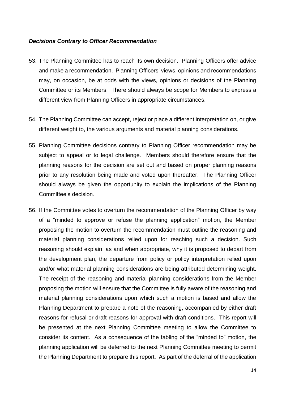#### *Decisions Contrary to Officer Recommendation*

- 53. The Planning Committee has to reach its own decision. Planning Officers offer advice and make a recommendation. Planning Officers' views, opinions and recommendations may, on occasion, be at odds with the views, opinions or decisions of the Planning Committee or its Members. There should always be scope for Members to express a different view from Planning Officers in appropriate circumstances.
- 54. The Planning Committee can accept, reject or place a different interpretation on, or give different weight to, the various arguments and material planning considerations.
- 55. Planning Committee decisions contrary to Planning Officer recommendation may be subject to appeal or to legal challenge. Members should therefore ensure that the planning reasons for the decision are set out and based on proper planning reasons prior to any resolution being made and voted upon thereafter. The Planning Officer should always be given the opportunity to explain the implications of the Planning Committee's decision.
- 56. If the Committee votes to overturn the recommendation of the Planning Officer by way of a "minded to approve or refuse the planning application" motion, the Member proposing the motion to overturn the recommendation must outline the reasoning and material planning considerations relied upon for reaching such a decision. Such reasoning should explain, as and when appropriate, why it is proposed to depart from the development plan, the departure from policy or policy interpretation relied upon and/or what material planning considerations are being attributed determining weight. The receipt of the reasoning and material planning considerations from the Member proposing the motion will ensure that the Committee is fully aware of the reasoning and material planning considerations upon which such a motion is based and allow the Planning Department to prepare a note of the reasoning, accompanied by either draft reasons for refusal or draft reasons for approval with draft conditions. This report will be presented at the next Planning Committee meeting to allow the Committee to consider its content. As a consequence of the tabling of the "minded to" motion, the planning application will be deferred to the next Planning Committee meeting to permit the Planning Department to prepare this report. As part of the deferral of the application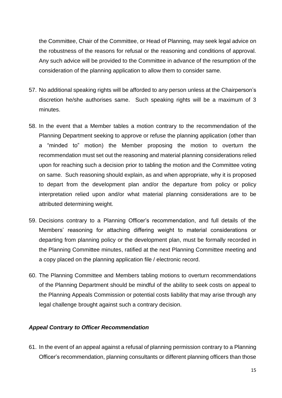the Committee, Chair of the Committee, or Head of Planning, may seek legal advice on the robustness of the reasons for refusal or the reasoning and conditions of approval. Any such advice will be provided to the Committee in advance of the resumption of the consideration of the planning application to allow them to consider same.

- 57. No additional speaking rights will be afforded to any person unless at the Chairperson's discretion he/she authorises same. Such speaking rights will be a maximum of 3 minutes.
- 58. In the event that a Member tables a motion contrary to the recommendation of the Planning Department seeking to approve or refuse the planning application (other than a "minded to" motion) the Member proposing the motion to overturn the recommendation must set out the reasoning and material planning considerations relied upon for reaching such a decision prior to tabling the motion and the Committee voting on same. Such reasoning should explain, as and when appropriate, why it is proposed to depart from the development plan and/or the departure from policy or policy interpretation relied upon and/or what material planning considerations are to be attributed determining weight.
- 59. Decisions contrary to a Planning Officer's recommendation, and full details of the Members' reasoning for attaching differing weight to material considerations or departing from planning policy or the development plan, must be formally recorded in the Planning Committee minutes, ratified at the next Planning Committee meeting and a copy placed on the planning application file / electronic record.
- 60. The Planning Committee and Members tabling motions to overturn recommendations of the Planning Department should be mindful of the ability to seek costs on appeal to the Planning Appeals Commission or potential costs liability that may arise through any legal challenge brought against such a contrary decision.

#### *Appeal Contrary to Officer Recommendation*

61. In the event of an appeal against a refusal of planning permission contrary to a Planning Officer's recommendation, planning consultants or different planning officers than those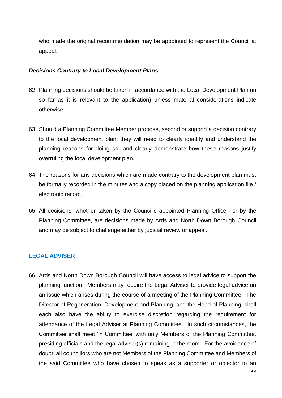who made the original recommendation may be appointed to represent the Council at appeal.

#### *Decisions Contrary to Local Development Plans*

- 62. Planning decisions should be taken in accordance with the Local Development Plan (in so far as it is relevant to the application) unless material considerations indicate otherwise.
- 63. Should a Planning Committee Member propose, second or support a decision contrary to the local development plan, they will need to clearly identify and understand the planning reasons for doing so, and clearly demonstrate how these reasons justify overruling the local development plan.
- 64. The reasons for any decisions which are made contrary to the development plan must be formally recorded in the minutes and a copy placed on the planning application file / electronic record.
- 65. All decisions, whether taken by the Council's appointed Planning Officer, or by the Planning Committee, are decisions made by Ards and North Down Borough Council and may be subject to challenge either by judicial review or appeal.

### **LEGAL ADVISER**

66. Ards and North Down Borough Council will have access to legal advice to support the planning function. Members may require the Legal Adviser to provide legal advice on an issue which arises during the course of a meeting of the Planning Committee. The Director of Regeneration, Development and Planning, and the Head of Planning, shall each also have the ability to exercise discretion regarding the requirement for attendance of the Legal Adviser at Planning Committee. In such circumstances, the Committee shall meet 'in Committee' with only Members of the Planning Committee, presiding officials and the legal adviser(s) remaining in the room. For the avoidance of doubt, all councillors who are not Members of the Planning Committee and Members of the said Committee who have chosen to speak as a supporter or objector to an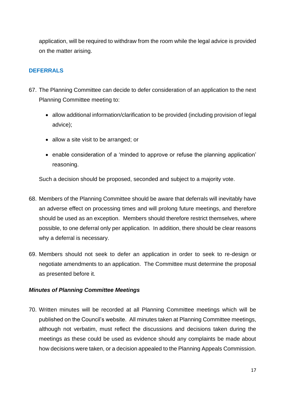application, will be required to withdraw from the room while the legal advice is provided on the matter arising.

### **DEFERRALS**

- 67. The Planning Committee can decide to defer consideration of an application to the next Planning Committee meeting to:
	- allow additional information/clarification to be provided (including provision of legal advice);
	- allow a site visit to be arranged; or
	- enable consideration of a 'minded to approve or refuse the planning application' reasoning.

Such a decision should be proposed, seconded and subject to a majority vote.

- 68. Members of the Planning Committee should be aware that deferrals will inevitably have an adverse effect on processing times and will prolong future meetings, and therefore should be used as an exception. Members should therefore restrict themselves, where possible, to one deferral only per application. In addition, there should be clear reasons why a deferral is necessary.
- 69. Members should not seek to defer an application in order to seek to re-design or negotiate amendments to an application. The Committee must determine the proposal as presented before it.

### *Minutes of Planning Committee Meetings*

70. Written minutes will be recorded at all Planning Committee meetings which will be published on the Council's website. All minutes taken at Planning Committee meetings, although not verbatim, must reflect the discussions and decisions taken during the meetings as these could be used as evidence should any complaints be made about how decisions were taken, or a decision appealed to the Planning Appeals Commission.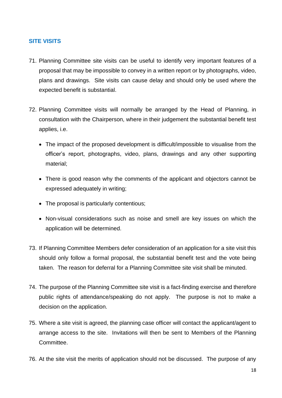### **SITE VISITS**

- 71. Planning Committee site visits can be useful to identify very important features of a proposal that may be impossible to convey in a written report or by photographs, video, plans and drawings. Site visits can cause delay and should only be used where the expected benefit is substantial.
- 72. Planning Committee visits will normally be arranged by the Head of Planning, in consultation with the Chairperson, where in their judgement the substantial benefit test applies, i.e.
	- The impact of the proposed development is difficult/impossible to visualise from the officer's report, photographs, video, plans, drawings and any other supporting material;
	- There is good reason why the comments of the applicant and objectors cannot be expressed adequately in writing;
	- The proposal is particularly contentious;
	- Non-visual considerations such as noise and smell are key issues on which the application will be determined.
- 73. If Planning Committee Members defer consideration of an application for a site visit this should only follow a formal proposal, the substantial benefit test and the vote being taken. The reason for deferral for a Planning Committee site visit shall be minuted.
- 74. The purpose of the Planning Committee site visit is a fact-finding exercise and therefore public rights of attendance/speaking do not apply. The purpose is not to make a decision on the application.
- 75. Where a site visit is agreed, the planning case officer will contact the applicant/agent to arrange access to the site. Invitations will then be sent to Members of the Planning Committee.
- 76. At the site visit the merits of application should not be discussed. The purpose of any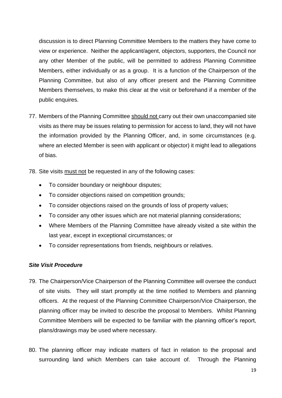discussion is to direct Planning Committee Members to the matters they have come to view or experience. Neither the applicant/agent, objectors, supporters, the Council nor any other Member of the public, will be permitted to address Planning Committee Members, either individually or as a group. It is a function of the Chairperson of the Planning Committee, but also of any officer present and the Planning Committee Members themselves, to make this clear at the visit or beforehand if a member of the public enquires.

- 77. Members of the Planning Committee should not carry out their own unaccompanied site visits as there may be issues relating to permission for access to land, they will not have the information provided by the Planning Officer, and, in some circumstances (e.g. where an elected Member is seen with applicant or objector) it might lead to allegations of bias.
- 78. Site visits must not be requested in any of the following cases:
	- To consider boundary or neighbour disputes;
	- To consider objections raised on competition grounds;
	- To consider objections raised on the grounds of loss of property values;
	- To consider any other issues which are not material planning considerations;
	- Where Members of the Planning Committee have already visited a site within the last year, except in exceptional circumstances; or
	- To consider representations from friends, neighbours or relatives.

#### *Site Visit Procedure*

- 79. The Chairperson/Vice Chairperson of the Planning Committee will oversee the conduct of site visits. They will start promptly at the time notified to Members and planning officers. At the request of the Planning Committee Chairperson/Vice Chairperson, the planning officer may be invited to describe the proposal to Members. Whilst Planning Committee Members will be expected to be familiar with the planning officer's report, plans/drawings may be used where necessary.
- 80. The planning officer may indicate matters of fact in relation to the proposal and surrounding land which Members can take account of. Through the Planning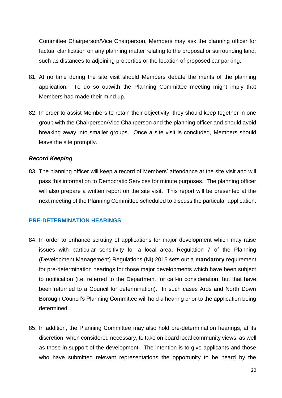Committee Chairperson/Vice Chairperson, Members may ask the planning officer for factual clarification on any planning matter relating to the proposal or surrounding land, such as distances to adjoining properties or the location of proposed car parking.

- 81. At no time during the site visit should Members debate the merits of the planning application. To do so outwith the Planning Committee meeting might imply that Members had made their mind up.
- 82. In order to assist Members to retain their objectivity, they should keep together in one group with the Chairperson/Vice Chairperson and the planning officer and should avoid breaking away into smaller groups. Once a site visit is concluded, Members should leave the site promptly.

#### *Record Keeping*

83. The planning officer will keep a record of Members' attendance at the site visit and will pass this information to Democratic Services for minute purposes. The planning officer will also prepare a written report on the site visit. This report will be presented at the next meeting of the Planning Committee scheduled to discuss the particular application.

#### **PRE-DETERMINATION HEARINGS**

- 84. In order to enhance scrutiny of applications for major development which may raise issues with particular sensitivity for a local area, Regulation 7 of the Planning (Development Management) Regulations (NI) 2015 sets out a **mandatory** requirement for pre-determination hearings for those major developments which have been subject to notification (i.e. referred to the Department for call-in consideration, but that have been returned to a Council for determination). In such cases Ards and North Down Borough Council's Planning Committee will hold a hearing prior to the application being determined.
- 85. In addition, the Planning Committee may also hold pre-determination hearings, at its discretion, when considered necessary, to take on board local community views, as well as those in support of the development. The intention is to give applicants and those who have submitted relevant representations the opportunity to be heard by the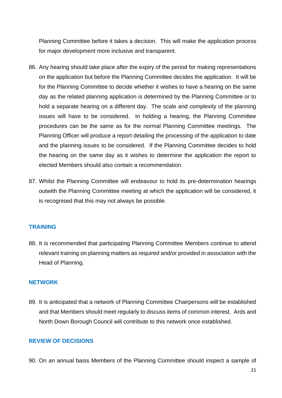Planning Committee before it takes a decision. This will make the application process for major development more inclusive and transparent.

- 86. Any hearing should take place after the expiry of the period for making representations on the application but before the Planning Committee decides the application. It will be for the Planning Committee to decide whether it wishes to have a hearing on the same day as the related planning application is determined by the Planning Committee or to hold a separate hearing on a different day. The scale and complexity of the planning issues will have to be considered. In holding a hearing, the Planning Committee procedures can be the same as for the normal Planning Committee meetings. The Planning Officer will produce a report detailing the processing of the application to date and the planning issues to be considered. If the Planning Committee decides to hold the hearing on the same day as it wishes to determine the application the report to elected Members should also contain a recommendation.
- 87. Whilst the Planning Committee will endeavour to hold its pre-determination hearings outwith the Planning Committee meeting at which the application will be considered, it is recognised that this may not always be possible.

#### **TRAINING**

88. It is recommended that participating Planning Committee Members continue to attend relevant training on planning matters as required and/or provided in association with the Head of Planning.

#### **NETWORK**

89. It is anticipated that a network of Planning Committee Chairpersons will be established and that Members should meet regularly to discuss items of common interest. Ards and North Down Borough Council will contribute to this network once established.

#### **REVIEW OF DECISIONS**

90. On an annual basis Members of the Planning Committee should inspect a sample of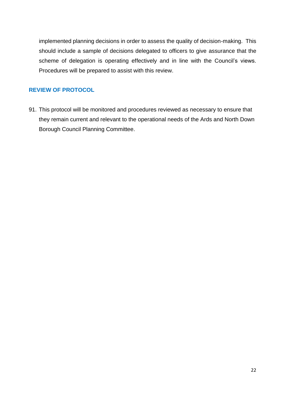implemented planning decisions in order to assess the quality of decision-making. This should include a sample of decisions delegated to officers to give assurance that the scheme of delegation is operating effectively and in line with the Council's views. Procedures will be prepared to assist with this review.

## **REVIEW OF PROTOCOL**

91. This protocol will be monitored and procedures reviewed as necessary to ensure that they remain current and relevant to the operational needs of the Ards and North Down Borough Council Planning Committee.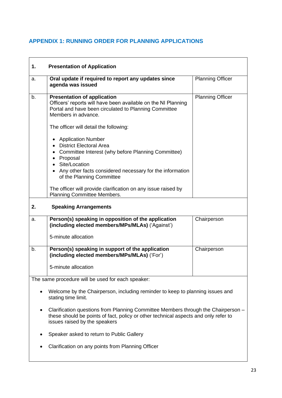# **APPENDIX 1: RUNNING ORDER FOR PLANNING APPLICATIONS**

| 1.                                                | <b>Presentation of Application</b>                                                                                                                                                                                                                  |                         |  |  |
|---------------------------------------------------|-----------------------------------------------------------------------------------------------------------------------------------------------------------------------------------------------------------------------------------------------------|-------------------------|--|--|
| a.                                                | Oral update if required to report any updates since<br>agenda was issued                                                                                                                                                                            | <b>Planning Officer</b> |  |  |
| b.                                                | <b>Presentation of application</b><br>Officers' reports will have been available on the NI Planning<br>Portal and have been circulated to Planning Committee<br>Members in advance.                                                                 | <b>Planning Officer</b> |  |  |
|                                                   | The officer will detail the following:                                                                                                                                                                                                              |                         |  |  |
|                                                   | <b>Application Number</b><br>• District Electoral Area<br>• Committee Interest (why before Planning Committee)<br>Proposal<br>$\bullet$<br>Site/Location<br>• Any other facts considered necessary for the information<br>of the Planning Committee |                         |  |  |
|                                                   | The officer will provide clarification on any issue raised by<br><b>Planning Committee Members.</b>                                                                                                                                                 |                         |  |  |
| 2.<br><b>Speaking Arrangements</b>                |                                                                                                                                                                                                                                                     |                         |  |  |
| a.                                                | Person(s) speaking in opposition of the application<br>(including elected members/MPs/MLAs) ('Against')                                                                                                                                             | Chairperson             |  |  |
|                                                   | 5-minute allocation                                                                                                                                                                                                                                 |                         |  |  |
| b.                                                | Person(s) speaking in support of the application<br>(including elected members/MPs/MLAs) ('For')                                                                                                                                                    | Chairperson             |  |  |
|                                                   | 5-minute allocation                                                                                                                                                                                                                                 |                         |  |  |
| The same procedure will be used for each speaker: |                                                                                                                                                                                                                                                     |                         |  |  |
| ٠                                                 | Welcome by the Chairperson, including reminder to keep to planning issues and<br>stating time limit.                                                                                                                                                |                         |  |  |
|                                                   | Clarification questions from Planning Committee Members through the Chairperson -<br>these should be points of fact, policy or other technical aspects and only refer to<br>issues raised by the speakers                                           |                         |  |  |
|                                                   | Speaker asked to return to Public Gallery                                                                                                                                                                                                           |                         |  |  |
|                                                   | Clarification on any points from Planning Officer                                                                                                                                                                                                   |                         |  |  |